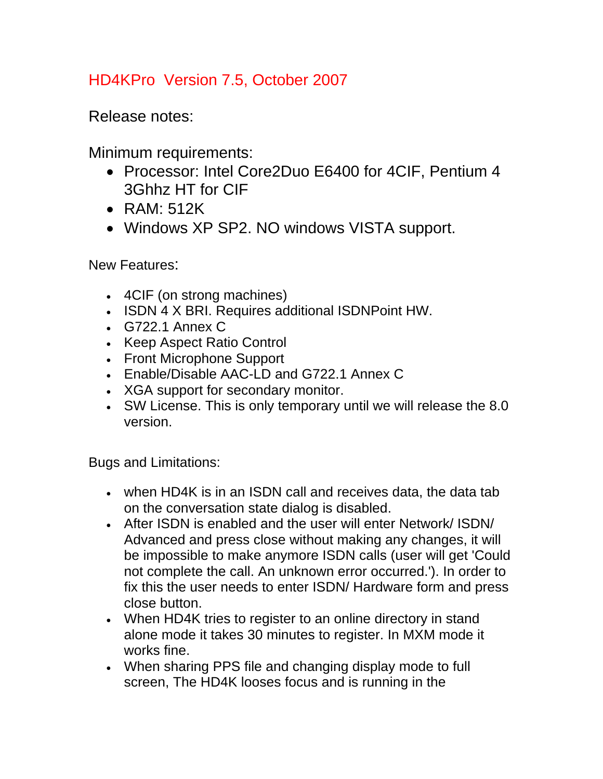## HD4KPro Version 7.5, October 2007

Release notes:

Minimum requirements:

- Processor: Intel Core2Duo E6400 for 4CIF, Pentium 4 3Ghhz HT for CIF
- RAM: 512K
- Windows XP SP2. NO windows VISTA support.

New Features:

- 4CIF (on strong machines)
- ISDN 4 X BRI. Requires additional ISDNPoint HW.
- G722.1 Annex C
- Keep Aspect Ratio Control
- Front Microphone Support
- Enable/Disable AAC-LD and G722.1 Annex C
- XGA support for secondary monitor.
- SW License. This is only temporary until we will release the 8.0 version.

Bugs and Limitations:

- when HD4K is in an ISDN call and receives data, the data tab on the conversation state dialog is disabled.
- After ISDN is enabled and the user will enter Network/ ISDN/ Advanced and press close without making any changes, it will be impossible to make anymore ISDN calls (user will get 'Could not complete the call. An unknown error occurred.'). In order to fix this the user needs to enter ISDN/ Hardware form and press close button.
- When HD4K tries to register to an online directory in stand alone mode it takes 30 minutes to register. In MXM mode it works fine.
- When sharing PPS file and changing display mode to full screen, The HD4K looses focus and is running in the